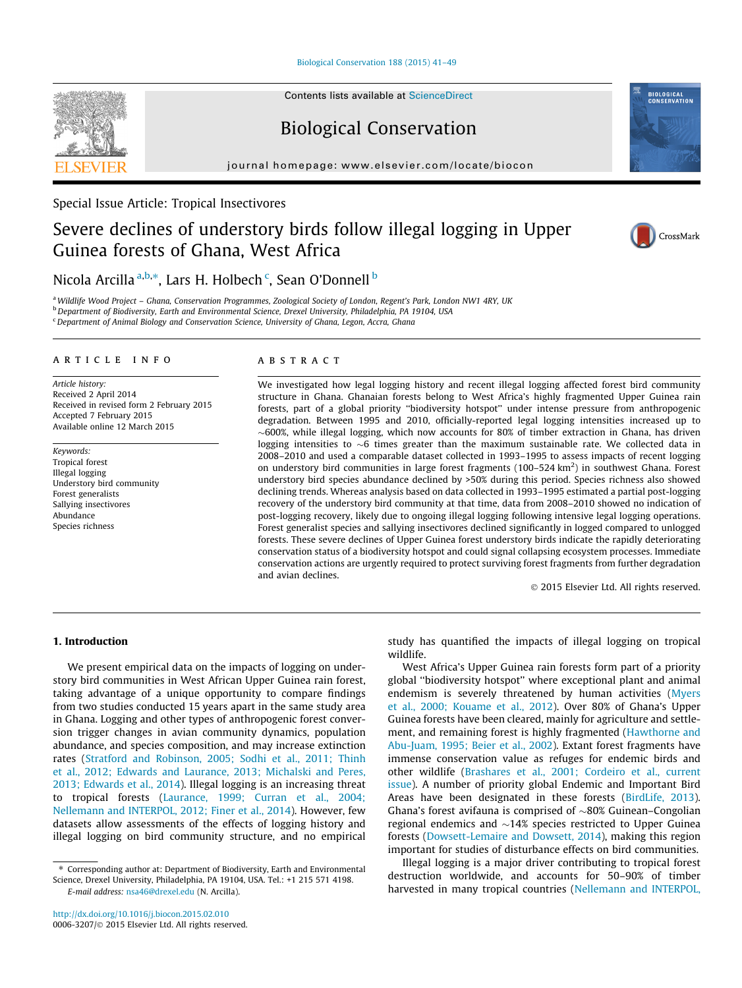[Biological Conservation 188 \(2015\) 41–49](http://dx.doi.org/10.1016/j.biocon.2015.02.010)

Contents lists available at [ScienceDirect](http://www.sciencedirect.com/science/journal/00063207)

# Biological Conservation

journal homepage: [www.elsevier.com/locate/biocon](http://www.elsevier.com/locate/biocon)

# Special Issue Article: Tropical Insectivores

# Severe declines of understory birds follow illegal logging in Upper Guinea forests of Ghana, West Africa



**BIOLOGICAL**<br>CONSERVATION

Nicola Arcilla <sup>a,b,</sup>\*, Lars H. Holbech <sup>c</sup>, Sean O'Donnell <sup>b</sup>

<sup>a</sup> Wildlife Wood Project – Ghana, Conservation Programmes, Zoological Society of London, Regent's Park, London NW1 4RY, UK <sup>b</sup> Department of Biodiversity, Earth and Environmental Science, Drexel University, Philadelphia, PA 19104, USA

<sup>c</sup> Department of Animal Biology and Conservation Science, University of Ghana, Legon, Accra, Ghana

# article info

Article history: Received 2 April 2014 Received in revised form 2 February 2015 Accepted 7 February 2015 Available online 12 March 2015

Keywords: Tropical forest Illegal logging Understory bird community Forest generalists Sallying insectivores Abundance Species richness

# **ABSTRACT**

We investigated how legal logging history and recent illegal logging affected forest bird community structure in Ghana. Ghanaian forests belong to West Africa's highly fragmented Upper Guinea rain forests, part of a global priority ''biodiversity hotspot'' under intense pressure from anthropogenic degradation. Between 1995 and 2010, officially-reported legal logging intensities increased up to  $\sim$  600%, while illegal logging, which now accounts for 80% of timber extraction in Ghana, has driven logging intensities to  $\sim$ 6 times greater than the maximum sustainable rate. We collected data in 2008–2010 and used a comparable dataset collected in 1993–1995 to assess impacts of recent logging on understory bird communities in large forest fragments (100-524 km<sup>2</sup>) in southwest Ghana. Forest understory bird species abundance declined by >50% during this period. Species richness also showed declining trends. Whereas analysis based on data collected in 1993–1995 estimated a partial post-logging recovery of the understory bird community at that time, data from 2008–2010 showed no indication of post-logging recovery, likely due to ongoing illegal logging following intensive legal logging operations. Forest generalist species and sallying insectivores declined significantly in logged compared to unlogged forests. These severe declines of Upper Guinea forest understory birds indicate the rapidly deteriorating conservation status of a biodiversity hotspot and could signal collapsing ecosystem processes. Immediate conservation actions are urgently required to protect surviving forest fragments from further degradation and avian declines.

 $© 2015 Elsevier Ltd. All rights reserved.$ 

# 1. Introduction

We present empirical data on the impacts of logging on understory bird communities in West African Upper Guinea rain forest, taking advantage of a unique opportunity to compare findings from two studies conducted 15 years apart in the same study area in Ghana. Logging and other types of anthropogenic forest conversion trigger changes in avian community dynamics, population abundance, and species composition, and may increase extinction rates ([Stratford and Robinson, 2005; Sodhi et al., 2011; Thinh](#page-8-0) [et al., 2012; Edwards and Laurance, 2013; Michalski and Peres,](#page-8-0) [2013; Edwards et al., 2014\)](#page-8-0). Illegal logging is an increasing threat to tropical forests [\(Laurance, 1999; Curran et al., 2004;](#page-7-0) [Nellemann and INTERPOL, 2012; Finer et al., 2014\)](#page-7-0). However, few datasets allow assessments of the effects of logging history and illegal logging on bird community structure, and no empirical

E-mail address: [nsa46@drexel.edu](mailto:nsa46@drexel.edu) (N. Arcilla).

study has quantified the impacts of illegal logging on tropical wildlife.

West Africa's Upper Guinea rain forests form part of a priority global ''biodiversity hotspot'' where exceptional plant and animal endemism is severely threatened by human activities [\(Myers](#page-7-0) [et al., 2000; Kouame et al., 2012](#page-7-0)). Over 80% of Ghana's Upper Guinea forests have been cleared, mainly for agriculture and settlement, and remaining forest is highly fragmented [\(Hawthorne and](#page-7-0) [Abu-Juam, 1995; Beier et al., 2002\)](#page-7-0). Extant forest fragments have immense conservation value as refuges for endemic birds and other wildlife [\(Brashares et al., 2001; Cordeiro et al., current](#page-7-0) [issue](#page-7-0)). A number of priority global Endemic and Important Bird Areas have been designated in these forests [\(BirdLife, 2013\)](#page-7-0). Ghana's forest avifauna is comprised of  $\sim$ 80% Guinean–Congolian regional endemics and  $\sim$ 14% species restricted to Upper Guinea forests ([Dowsett-Lemaire and Dowsett, 2014\)](#page-7-0), making this region important for studies of disturbance effects on bird communities.

Illegal logging is a major driver contributing to tropical forest destruction worldwide, and accounts for 50–90% of timber harvested in many tropical countries [\(Nellemann and INTERPOL,](#page-7-0)



<sup>⇑</sup> Corresponding author at: Department of Biodiversity, Earth and Environmental Science, Drexel University, Philadelphia, PA 19104, USA. Tel.: +1 215 571 4198.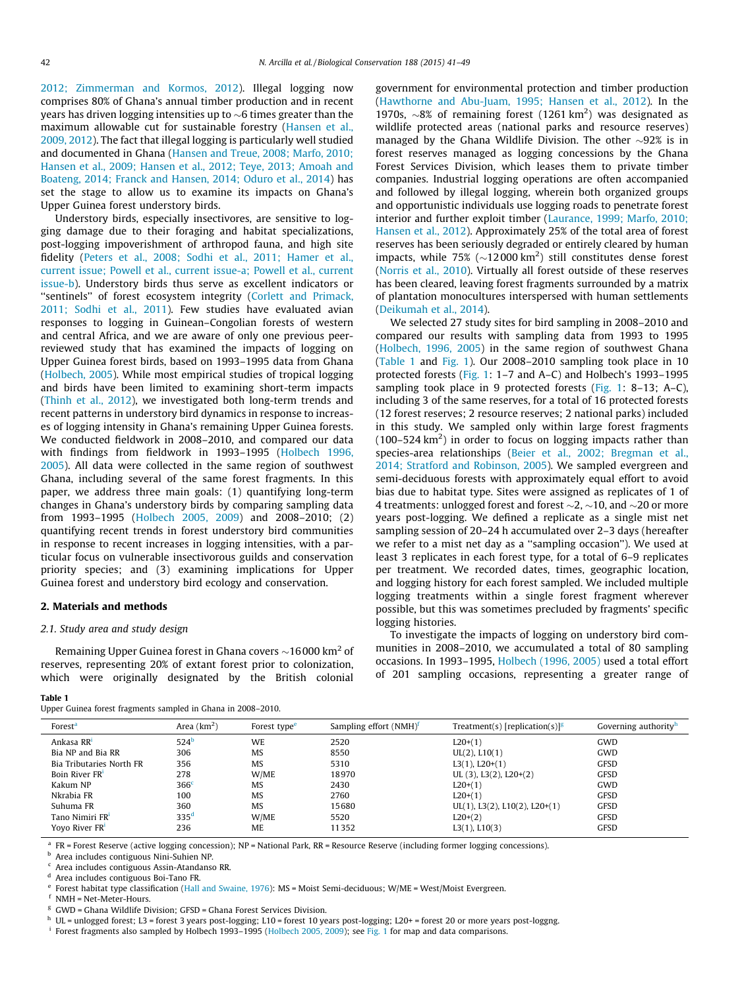[2012; Zimmerman and Kormos, 2012\)](#page-7-0). Illegal logging now comprises 80% of Ghana's annual timber production and in recent years has driven logging intensities up to  $\sim$ 6 times greater than the maximum allowable cut for sustainable forestry ([Hansen et al.,](#page-7-0) [2009, 2012](#page-7-0)). The fact that illegal logging is particularly well studied and documented in Ghana [\(Hansen and Treue, 2008; Marfo, 2010;](#page-7-0) [Hansen et al., 2009; Hansen et al., 2012; Teye, 2013; Amoah and](#page-7-0) [Boateng, 2014; Franck and Hansen, 2014; Oduro et al., 2014\)](#page-7-0) has set the stage to allow us to examine its impacts on Ghana's Upper Guinea forest understory birds.

Understory birds, especially insectivores, are sensitive to logging damage due to their foraging and habitat specializations, post-logging impoverishment of arthropod fauna, and high site fidelity [\(Peters et al., 2008; Sodhi et al., 2011; Hamer et al.,](#page-8-0) [current issue; Powell et al., current issue-a; Powell et al., current](#page-8-0) [issue-b\)](#page-8-0). Understory birds thus serve as excellent indicators or ''sentinels'' of forest ecosystem integrity ([Corlett and Primack,](#page-7-0) [2011; Sodhi et al., 2011](#page-7-0)). Few studies have evaluated avian responses to logging in Guinean–Congolian forests of western and central Africa, and we are aware of only one previous peerreviewed study that has examined the impacts of logging on Upper Guinea forest birds, based on 1993–1995 data from Ghana ([Holbech, 2005](#page-7-0)). While most empirical studies of tropical logging and birds have been limited to examining short-term impacts ([Thinh et al., 2012\)](#page-8-0), we investigated both long-term trends and recent patterns in understory bird dynamics in response to increases of logging intensity in Ghana's remaining Upper Guinea forests. We conducted fieldwork in 2008–2010, and compared our data with findings from fieldwork in 1993–1995 ([Holbech 1996,](#page-7-0) [2005\)](#page-7-0). All data were collected in the same region of southwest Ghana, including several of the same forest fragments. In this paper, we address three main goals: (1) quantifying long-term changes in Ghana's understory birds by comparing sampling data from 1993–1995 [\(Holbech 2005, 2009](#page-7-0)) and 2008–2010; (2) quantifying recent trends in forest understory bird communities in response to recent increases in logging intensities, with a particular focus on vulnerable insectivorous guilds and conservation priority species; and (3) examining implications for Upper Guinea forest and understory bird ecology and conservation.

# 2. Materials and methods

### 2.1. Study area and study design

Remaining Upper Guinea forest in Ghana covers  $\sim$  16 000 km<sup>2</sup> of reserves, representing 20% of extant forest prior to colonization, which were originally designated by the British colonial government for environmental protection and timber production ([Hawthorne and Abu-Juam, 1995; Hansen et al., 2012](#page-7-0)). In the 1970s,  $\sim$ 8% of remaining forest (1261 km<sup>2</sup>) was designated as wildlife protected areas (national parks and resource reserves) managed by the Ghana Wildlife Division. The other  $\sim$ 92% is in forest reserves managed as logging concessions by the Ghana Forest Services Division, which leases them to private timber companies. Industrial logging operations are often accompanied and followed by illegal logging, wherein both organized groups and opportunistic individuals use logging roads to penetrate forest interior and further exploit timber ([Laurance, 1999; Marfo, 2010;](#page-7-0) [Hansen et al., 2012](#page-7-0)). Approximately 25% of the total area of forest reserves has been seriously degraded or entirely cleared by human impacts, while  $75\%$  ( $\sim$ 12000 km<sup>2</sup>) still constitutes dense forest ([Norris et al., 2010\)](#page-7-0). Virtually all forest outside of these reserves has been cleared, leaving forest fragments surrounded by a matrix of plantation monocultures interspersed with human settlements ([Deikumah et al., 2014](#page-7-0)).

We selected 27 study sites for bird sampling in 2008–2010 and compared our results with sampling data from 1993 to 1995 ([Holbech, 1996, 2005](#page-7-0)) in the same region of southwest Ghana (Table 1 and [Fig. 1\)](#page-2-0). Our 2008–2010 sampling took place in 10 protected forests ([Fig. 1:](#page-2-0) 1–7 and A–C) and Holbech's 1993–1995 sampling took place in 9 protected forests ([Fig. 1:](#page-2-0) 8–13; A–C), including 3 of the same reserves, for a total of 16 protected forests (12 forest reserves; 2 resource reserves; 2 national parks) included in this study. We sampled only within large forest fragments  $(100 - 524 \text{ km}^2)$  in order to focus on logging impacts rather than species-area relationships ([Beier et al., 2002; Bregman et al.,](#page-7-0) [2014; Stratford and Robinson, 2005](#page-7-0)). We sampled evergreen and semi-deciduous forests with approximately equal effort to avoid bias due to habitat type. Sites were assigned as replicates of 1 of 4 treatments: unlogged forest and forest  $\sim$ 2,  $\sim$ 10, and  $\sim$ 20 or more years post-logging. We defined a replicate as a single mist net sampling session of 20–24 h accumulated over 2–3 days (hereafter we refer to a mist net day as a ''sampling occasion''). We used at least 3 replicates in each forest type, for a total of 6–9 replicates per treatment. We recorded dates, times, geographic location, and logging history for each forest sampled. We included multiple logging treatments within a single forest fragment wherever possible, but this was sometimes precluded by fragments' specific logging histories.

To investigate the impacts of logging on understory bird communities in 2008–2010, we accumulated a total of 80 sampling occasions. In 1993–1995, [Holbech \(1996, 2005\)](#page-7-0) used a total effort of 201 sampling occasions, representing a greater range of

#### Table 1

Upper Guinea forest fragments sampled in Ghana in 2008–2010.

| .<br>$\tilde{}$             |                  |                          |                                    |                                            |                                  |
|-----------------------------|------------------|--------------------------|------------------------------------|--------------------------------------------|----------------------------------|
| Forest <sup>a</sup>         | Area $(km^2)$    | Forest type <sup>e</sup> | Sampling effort (NMH) <sup>t</sup> | Treatment(s) [replication(s)] <sup>g</sup> | Governing authority <sup>h</sup> |
| Ankasa RR <sup>i</sup>      | 524 <sup>b</sup> | <b>WE</b>                | 2520                               | $L20+(1)$                                  | GWD                              |
| Bia NP and Bia RR           | 306              | MS                       | 8550                               | UL(2), L10(1)                              | GWD                              |
| Bia Tributaries North FR    | 356              | <b>MS</b>                | 5310                               | $L3(1)$ , $L20+(1)$                        | <b>GFSD</b>                      |
| Boin River FR <sup>1</sup>  | 278              | W/ME                     | 18970                              | UL $(3)$ , L3 $(2)$ , L20+ $(2)$           | <b>GFSD</b>                      |
| Kakum NP                    | 366 <sup>c</sup> | MS                       | 2430                               | $L20+(1)$                                  | GWD                              |
| Nkrabia FR                  | 100              | <b>MS</b>                | 2760                               | $L20+(1)$                                  | <b>GFSD</b>                      |
| Suhuma FR                   | 360              | <b>MS</b>                | 15680                              | $UL(1), L3(2), L10(2), L20+(1)$            | <b>GFSD</b>                      |
| Tano Nimiri FR <sup>1</sup> | 335 <sup>d</sup> | W/ME                     | 5520                               | $L20+(2)$                                  | <b>GFSD</b>                      |
| Yoyo River FR <sup>i</sup>  | 236              | ME                       | 11352                              | $L3(1)$ , $L10(3)$                         | <b>GFSD</b>                      |
|                             |                  |                          |                                    |                                            |                                  |

<sup>a</sup> FR = Forest Reserve (active logging concession); NP = National Park, RR = Resource Reserve (including former logging concessions).

<sup>b</sup> Area includes contiguous Nini-Suhien NP.

<sup>c</sup> Area includes contiguous Assin-Atandanso RR.

Area includes contiguous Boi-Tano FR.

 $e$  Forest habitat type classification ([Hall and Swaine, 1976](#page-7-0)): MS = Moist Semi-deciduous; W/ME = West/Moist Evergreen.

- <sup>g</sup> GWD = Ghana Wildlife Division; GFSD = Ghana Forest Services Division.
- h UL = unlogged forest; L3 = forest 3 years post-logging; L10 = forest 10 years post-logging; L20+ = forest 20 or more years post-loggng.
- <sup>i</sup> Forest fragments also sampled by Holbech 1993-1995 [\(Holbech 2005, 2009](#page-7-0)); see [Fig. 1](#page-2-0) for map and data comparisons.

NMH = Net-Meter-Hours.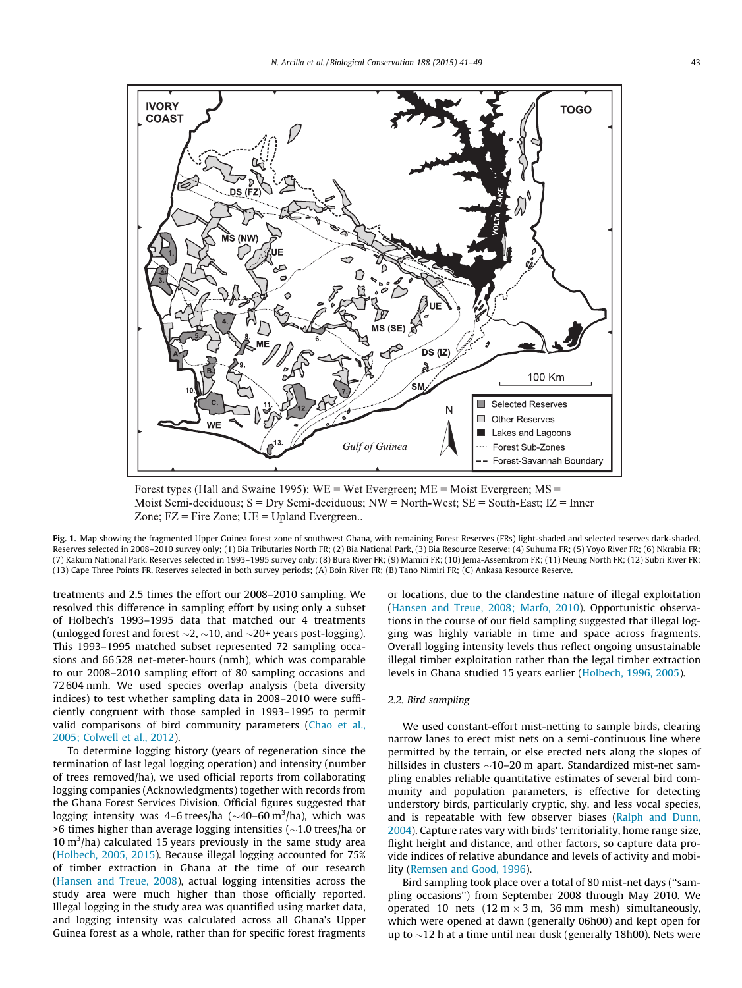<span id="page-2-0"></span>

Forest types (Hall and Swaine 1995): WE = Wet Evergreen; ME = Moist Evergreen; MS = Moist Semi-deciduous;  $S = Dry$  Semi-deciduous;  $NW = North-West$ ;  $SE = South\text{-}East$ ;  $IZ = Inner$ Zone;  $FZ =$  Fire Zone;  $UE =$  Upland Evergreen..

Fig. 1. Map showing the fragmented Upper Guinea forest zone of southwest Ghana, with remaining Forest Reserves (FRs) light-shaded and selected reserves dark-shaded. Reserves selected in 2008–2010 survey only; (1) Bia Tributaries North FR; (2) Bia National Park, (3) Bia Resource Reserve; (4) Suhuma FR; (5) Yoyo River FR; (6) Nkrabia FR; (7) Kakum National Park. Reserves selected in 1993–1995 survey only; (8) Bura River FR; (9) Mamiri FR; (10) Jema-Assemkrom FR; (11) Neung North FR; (12) Subri River FR; (13) Cape Three Points FR. Reserves selected in both survey periods; (A) Boin River FR; (B) Tano Nimiri FR; (C) Ankasa Resource Reserve.

treatments and 2.5 times the effort our 2008–2010 sampling. We resolved this difference in sampling effort by using only a subset of Holbech's 1993–1995 data that matched our 4 treatments (unlogged forest and forest  $\sim$  2,  $\sim$  10, and  $\sim$  20+ years post-logging). This 1993–1995 matched subset represented 72 sampling occasions and 66528 net-meter-hours (nmh), which was comparable to our 2008–2010 sampling effort of 80 sampling occasions and 72604 nmh. We used species overlap analysis (beta diversity indices) to test whether sampling data in 2008–2010 were sufficiently congruent with those sampled in 1993–1995 to permit valid comparisons of bird community parameters ([Chao et al.,](#page-7-0) [2005; Colwell et al., 2012\)](#page-7-0).

To determine logging history (years of regeneration since the termination of last legal logging operation) and intensity (number of trees removed/ha), we used official reports from collaborating logging companies (Acknowledgments) together with records from the Ghana Forest Services Division. Official figures suggested that logging intensity was 4–6 trees/ha ( $\sim$ 40–60 m<sup>3</sup>/ha), which was  $>6$  times higher than average logging intensities ( $\sim$ 1.0 trees/ha or  $10 \text{ m}^3/\text{ha}$ ) calculated 15 years previously in the same study area ([Holbech, 2005, 2015\)](#page-7-0). Because illegal logging accounted for 75% of timber extraction in Ghana at the time of our research ([Hansen and Treue, 2008](#page-7-0)), actual logging intensities across the study area were much higher than those officially reported. Illegal logging in the study area was quantified using market data, and logging intensity was calculated across all Ghana's Upper Guinea forest as a whole, rather than for specific forest fragments

or locations, due to the clandestine nature of illegal exploitation ([Hansen and Treue, 2008; Marfo, 2010](#page-7-0)). Opportunistic observations in the course of our field sampling suggested that illegal logging was highly variable in time and space across fragments. Overall logging intensity levels thus reflect ongoing unsustainable illegal timber exploitation rather than the legal timber extraction levels in Ghana studied 15 years earlier [\(Holbech, 1996, 2005\)](#page-7-0).

# 2.2. Bird sampling

We used constant-effort mist-netting to sample birds, clearing narrow lanes to erect mist nets on a semi-continuous line where permitted by the terrain, or else erected nets along the slopes of hillsides in clusters  $\sim$ 10–20 m apart. Standardized mist-net sampling enables reliable quantitative estimates of several bird community and population parameters, is effective for detecting understory birds, particularly cryptic, shy, and less vocal species, and is repeatable with few observer biases ([Ralph and Dunn,](#page-8-0) [2004](#page-8-0)). Capture rates vary with birds' territoriality, home range size, flight height and distance, and other factors, so capture data provide indices of relative abundance and levels of activity and mobility ([Remsen and Good, 1996](#page-8-0)).

Bird sampling took place over a total of 80 mist-net days (''sampling occasions'') from September 2008 through May 2010. We operated 10 nets  $(12 \text{ m} \times 3 \text{ m}, 36 \text{ mm} \text{ mesh})$  simultaneously, which were opened at dawn (generally 06h00) and kept open for up to  $\sim$ 12 h at a time until near dusk (generally 18h00). Nets were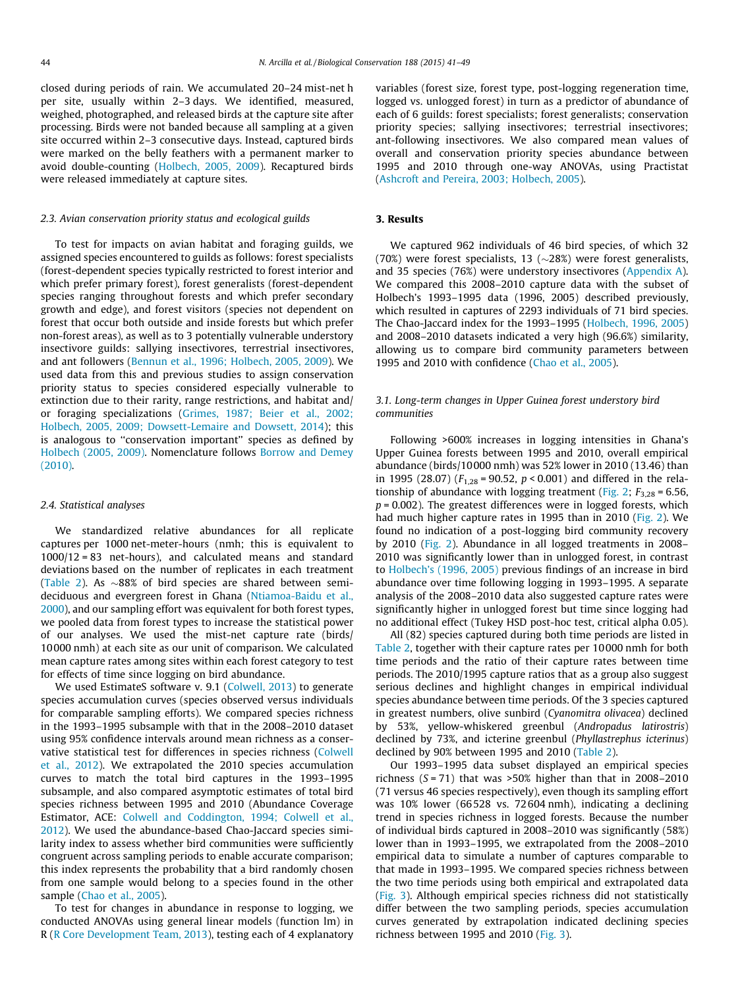closed during periods of rain. We accumulated 20–24 mist-net h per site, usually within 2–3 days. We identified, measured, weighed, photographed, and released birds at the capture site after processing. Birds were not banded because all sampling at a given site occurred within 2–3 consecutive days. Instead, captured birds were marked on the belly feathers with a permanent marker to avoid double-counting [\(Holbech, 2005, 2009\)](#page-7-0). Recaptured birds were released immediately at capture sites.

## 2.3. Avian conservation priority status and ecological guilds

To test for impacts on avian habitat and foraging guilds, we assigned species encountered to guilds as follows: forest specialists (forest-dependent species typically restricted to forest interior and which prefer primary forest), forest generalists (forest-dependent species ranging throughout forests and which prefer secondary growth and edge), and forest visitors (species not dependent on forest that occur both outside and inside forests but which prefer non-forest areas), as well as to 3 potentially vulnerable understory insectivore guilds: sallying insectivores, terrestrial insectivores, and ant followers [\(Bennun et al., 1996; Holbech, 2005, 2009](#page-7-0)). We used data from this and previous studies to assign conservation priority status to species considered especially vulnerable to extinction due to their rarity, range restrictions, and habitat and/ or foraging specializations ([Grimes, 1987; Beier et al., 2002;](#page-7-0) [Holbech, 2005, 2009; Dowsett-Lemaire and Dowsett, 2014](#page-7-0)); this is analogous to ''conservation important'' species as defined by [Holbech \(2005, 2009\)](#page-7-0). Nomenclature follows [Borrow and Demey](#page-7-0) [\(2010\).](#page-7-0)

## 2.4. Statistical analyses

We standardized relative abundances for all replicate captures per 1000 net-meter-hours (nmh; this is equivalent to 1000/12 = 83 net-hours), and calculated means and standard deviations based on the number of replicates in each treatment ([Table 2\)](#page-4-0). As  $\sim 88\%$  of bird species are shared between semideciduous and evergreen forest in Ghana [\(Ntiamoa-Baidu et al.,](#page-7-0) [2000\)](#page-7-0), and our sampling effort was equivalent for both forest types, we pooled data from forest types to increase the statistical power of our analyses. We used the mist-net capture rate (birds/ 10000 nmh) at each site as our unit of comparison. We calculated mean capture rates among sites within each forest category to test for effects of time since logging on bird abundance.

We used EstimateS software v. 9.1 ([Colwell, 2013\)](#page-7-0) to generate species accumulation curves (species observed versus individuals for comparable sampling efforts). We compared species richness in the 1993–1995 subsample with that in the 2008–2010 dataset using 95% confidence intervals around mean richness as a conservative statistical test for differences in species richness ([Colwell](#page-7-0) [et al., 2012](#page-7-0)). We extrapolated the 2010 species accumulation curves to match the total bird captures in the 1993–1995 subsample, and also compared asymptotic estimates of total bird species richness between 1995 and 2010 (Abundance Coverage Estimator, ACE: [Colwell and Coddington, 1994; Colwell et al.,](#page-7-0) [2012\)](#page-7-0). We used the abundance-based Chao-Jaccard species similarity index to assess whether bird communities were sufficiently congruent across sampling periods to enable accurate comparison; this index represents the probability that a bird randomly chosen from one sample would belong to a species found in the other sample [\(Chao et al., 2005\)](#page-7-0).

To test for changes in abundance in response to logging, we conducted ANOVAs using general linear models (function lm) in R [\(R Core Development Team, 2013\)](#page-8-0), testing each of 4 explanatory

variables (forest size, forest type, post-logging regeneration time, logged vs. unlogged forest) in turn as a predictor of abundance of each of 6 guilds: forest specialists; forest generalists; conservation priority species; sallying insectivores; terrestrial insectivores; ant-following insectivores. We also compared mean values of overall and conservation priority species abundance between 1995 and 2010 through one-way ANOVAs, using Practistat ([Ashcroft and Pereira, 2003; Holbech, 2005\)](#page-7-0).

# 3. Results

We captured 962 individuals of 46 bird species, of which 32 (70%) were forest specialists, 13 ( $\sim$ 28%) were forest generalists, and 35 species (76%) were understory insectivores (Appendix A). We compared this 2008–2010 capture data with the subset of Holbech's 1993–1995 data (1996, 2005) described previously, which resulted in captures of 2293 individuals of 71 bird species. The Chao-Jaccard index for the 1993–1995 [\(Holbech, 1996, 2005\)](#page-7-0) and 2008–2010 datasets indicated a very high (96.6%) similarity, allowing us to compare bird community parameters between 1995 and 2010 with confidence [\(Chao et al., 2005\)](#page-7-0).

# 3.1. Long-term changes in Upper Guinea forest understory bird communities

Following >600% increases in logging intensities in Ghana's Upper Guinea forests between 1995 and 2010, overall empirical abundance (birds/10000 nmh) was 52% lower in 2010 (13.46) than in 1995 (28.07) ( $F_{1,28}$  = 90.52,  $p < 0.001$ ) and differed in the rela-tionship of abundance with logging treatment ([Fig. 2;](#page-5-0)  $F_{3,28}$  = 6.56,  $p = 0.002$ ). The greatest differences were in logged forests, which had much higher capture rates in 1995 than in 2010 [\(Fig. 2](#page-5-0)). We found no indication of a post-logging bird community recovery by 2010 [\(Fig. 2\)](#page-5-0). Abundance in all logged treatments in 2008– 2010 was significantly lower than in unlogged forest, in contrast to [Holbech's \(1996, 2005\)](#page-7-0) previous findings of an increase in bird abundance over time following logging in 1993–1995. A separate analysis of the 2008–2010 data also suggested capture rates were significantly higher in unlogged forest but time since logging had no additional effect (Tukey HSD post-hoc test, critical alpha 0.05).

All (82) species captured during both time periods are listed in [Table 2](#page-4-0), together with their capture rates per 10 000 nmh for both time periods and the ratio of their capture rates between time periods. The 2010/1995 capture ratios that as a group also suggest serious declines and highlight changes in empirical individual species abundance between time periods. Of the 3 species captured in greatest numbers, olive sunbird (Cyanomitra olivacea) declined by 53%, yellow-whiskered greenbul (Andropadus latirostris) declined by 73%, and icterine greenbul (Phyllastrephus icterinus) declined by 90% between 1995 and 2010 ([Table 2](#page-4-0)).

Our 1993–1995 data subset displayed an empirical species richness  $(S = 71)$  that was >50% higher than that in 2008–2010 (71 versus 46 species respectively), even though its sampling effort was 10% lower (66528 vs. 72604 nmh), indicating a declining trend in species richness in logged forests. Because the number of individual birds captured in 2008–2010 was significantly (58%) lower than in 1993–1995, we extrapolated from the 2008–2010 empirical data to simulate a number of captures comparable to that made in 1993–1995. We compared species richness between the two time periods using both empirical and extrapolated data ([Fig. 3](#page-5-0)). Although empirical species richness did not statistically differ between the two sampling periods, species accumulation curves generated by extrapolation indicated declining species richness between 1995 and 2010 ([Fig. 3](#page-5-0)).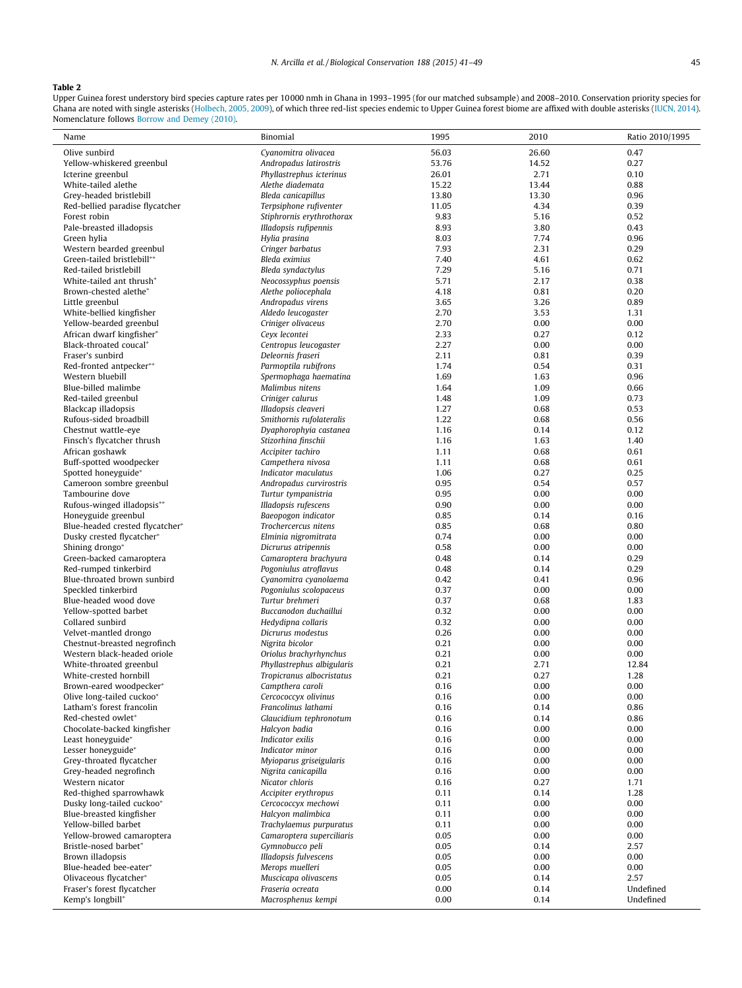#### <span id="page-4-0"></span>Table 2

Upper Guinea forest understory bird species capture rates per 10 000 nmh in Ghana in 1993–1995 (for our matched subsample) and 2008–2010. Conservation priority species for Ghana are noted with single asterisks [\(Holbech, 2005, 2009](#page-7-0)), of which three red-list species endemic to Upper Guinea forest biome are affixed with double asterisks ([IUCN, 2014\)](#page-7-0). Nomenclature follows [Borrow and Demey \(2010\)](#page-7-0).

| Name                                                        | Binomial                                             | 1995         | 2010         | Ratio 2010/1995 |
|-------------------------------------------------------------|------------------------------------------------------|--------------|--------------|-----------------|
| Olive sunbird                                               | Cyanomitra olivacea                                  | 56.03        | 26.60        | 0.47            |
| Yellow-whiskered greenbul                                   | Andropadus latirostris                               | 53.76        | 14.52        | 0.27            |
| Icterine greenbul                                           | Phyllastrephus icterinus                             | 26.01        | 2.71         | 0.10            |
| White-tailed alethe                                         | Alethe diademata                                     | 15.22        | 13.44        | 0.88            |
| Grey-headed bristlebill                                     | Bleda canicapillus                                   | 13.80        | 13.30        | 0.96            |
| Red-bellied paradise flycatcher                             | Terpsiphone rufiventer                               | 11.05        | 4.34         | 0.39            |
| Forest robin                                                | Stiphrornis erythrothorax                            | 9.83         | 5.16         | 0.52            |
| Pale-breasted illadopsis                                    | Illadopsis rufipennis                                | 8.93         | 3.80         | 0.43            |
| Green hylia<br>Western bearded greenbul                     | Hylia prasina<br>Cringer barbatus                    | 8.03<br>7.93 | 7.74<br>2.31 | 0.96<br>0.29    |
| Green-tailed bristlebill**                                  | Bleda eximius                                        | 7.40         | 4.61         | 0.62            |
| Red-tailed bristlebill                                      | Bleda syndactylus                                    | 7.29         | 5.16         | 0.71            |
| White-tailed ant thrush*                                    | Neocossyphus poensis                                 | 5.71         | 2.17         | 0.38            |
| Brown-chested alethe*                                       | Alethe poliocephala                                  | 4.18         | 0.81         | 0.20            |
| Little greenbul                                             | Andropadus virens                                    | 3.65         | 3.26         | 0.89            |
| White-bellied kingfisher                                    | Aldedo leucogaster                                   | 2.70         | 3.53         | 1.31            |
| Yellow-bearded greenbul                                     | Criniger olivaceus                                   | 2.70         | 0.00         | 0.00            |
| African dwarf kingfisher*                                   | Ceyx lecontei                                        | 2.33         | 0.27         | 0.12            |
| Black-throated coucal*                                      | Centropus leucogaster                                | 2.27         | 0.00         | 0.00            |
| Fraser's sunbird                                            | Deleornis fraseri                                    | 2.11         | 0.81         | 0.39            |
| Red-fronted antpecker**                                     | Parmoptila rubifrons                                 | 1.74         | 0.54         | 0.31            |
| Western bluebill                                            | Spermophaga haematina                                | 1.69         | 1.63         | 0.96            |
| Blue-billed malimbe                                         | Malimbus nitens                                      | 1.64         | 1.09         | 0.66            |
| Red-tailed greenbul                                         | Criniger calurus                                     | 1.48         | 1.09         | 0.73            |
| Blackcap illadopsis                                         | Illadopsis cleaveri                                  | 1.27         | 0.68         | 0.53            |
| Rufous-sided broadbill                                      | Smithornis rufolateralis                             | 1.22         | 0.68         | 0.56            |
| Chestnut wattle-eye                                         | Dyaphorophyia castanea                               | 1.16         | 0.14         | 0.12            |
| Finsch's flycatcher thrush                                  | Stizorhina finschii                                  | 1.16         | 1.63<br>0.68 | 1.40<br>0.61    |
| African goshawk<br>Buff-spotted woodpecker                  | Accipiter tachiro<br>Campethera nivosa               | 1.11<br>1.11 | 0.68         | 0.61            |
| Spotted honeyguide*                                         | Indicator maculatus                                  | 1.06         | 0.27         | 0.25            |
| Cameroon sombre greenbul                                    | Andropadus curvirostris                              | 0.95         | 0.54         | 0.57            |
| Tambourine dove                                             | Turtur tympanistria                                  | 0.95         | 0.00         | 0.00            |
| Rufous-winged illadopsis**                                  | Illadopsis rufescens                                 | 0.90         | 0.00         | 0.00            |
| Honeyguide greenbul                                         | Baeopogon indicator                                  | 0.85         | 0.14         | 0.16            |
| Blue-headed crested flycatcher*                             | Trochercercus nitens                                 | 0.85         | 0.68         | 0.80            |
| Dusky crested flycatcher*                                   | Elminia nigromitrata                                 | 0.74         | 0.00         | 0.00            |
| Shining drongo*                                             | Dicrurus atripennis                                  | 0.58         | 0.00         | 0.00            |
| Green-backed camaroptera                                    | Camaroptera brachyura                                | 0.48         | 0.14         | 0.29            |
| Red-rumped tinkerbird                                       | Pogoniulus atroflavus                                | 0.48         | 0.14         | 0.29            |
| Blue-throated brown sunbird                                 | Cyanomitra cyanolaema                                | 0.42         | 0.41         | 0.96            |
| Speckled tinkerbird                                         | Pogoniulus scolopaceus                               | 0.37         | 0.00         | 0.00            |
| Blue-headed wood dove                                       | Turtur brehmeri                                      | 0.37         | 0.68         | 1.83            |
| Yellow-spotted barbet                                       | Buccanodon duchaillui                                | 0.32         | 0.00         | 0.00            |
| Collared sunbird                                            | Hedydipna collaris                                   | 0.32         | 0.00         | 0.00            |
| Velvet-mantled drongo                                       | Dicrurus modestus<br>Nigrita bicolor                 | 0.26<br>0.21 | 0.00<br>0.00 | 0.00<br>0.00    |
| Chestnut-breasted negrofinch<br>Western black-headed oriole | Oriolus brachyrhynchus                               | 0.21         | 0.00         | 0.00            |
| White-throated greenbul                                     | Phyllastrephus albigularis                           | 0.21         | 2.71         | 12.84           |
| White-crested hornbill                                      | Tropicranus albocristatus                            | 0.21         | 0.27         | 1.28            |
| Brown-eared woodpecker*                                     | Campthera caroli                                     | 0.16         | 0.00         | 0.00            |
| Olive long-tailed cuckoo*                                   | Cercococcyx olivinus                                 | 0.16         | 0.00         | 0.00            |
| Latham's forest francolin                                   | Francolinus lathami                                  | 0.16         | 0.14         | 0.86            |
| Red-chested owlet*                                          | Glaucidium tephronotum                               | 0.16         | 0.14         | 0.86            |
| Chocolate-backed kingfisher                                 | Halcyon badia                                        | 0.16         | 0.00         | 0.00            |
| Least honeyguide*                                           | Indicator exilis                                     | 0.16         | 0.00         | 0.00            |
| Lesser honeyguide*                                          | Indicator minor                                      | 0.16         | 0.00         | 0.00            |
| Grey-throated flycatcher                                    | Myioparus griseigularis                              | 0.16         | 0.00         | 0.00            |
| Grey-headed negrofinch                                      | Nigrita canicapilla                                  | 0.16         | 0.00         | 0.00            |
| Western nicator                                             | Nicator chloris                                      | 0.16         | 0.27         | 1.71            |
| Red-thighed sparrowhawk                                     | Accipiter erythropus                                 | 0.11         | 0.14         | 1.28            |
| Dusky long-tailed cuckoo*                                   | Cercococcyx mechowi                                  | 0.11         | 0.00         | 0.00            |
| Blue-breasted kingfisher                                    | Halcyon malimbica                                    | 0.11         | 0.00         | 0.00            |
| Yellow-billed barbet                                        | Trachylaemus purpuratus<br>Camaroptera superciliaris | 0.11         | 0.00         | 0.00            |
| Yellow-browed camaroptera<br>Bristle-nosed barbet*          | Gymnobucco peli                                      | 0.05<br>0.05 | 0.00<br>0.14 | 0.00<br>2.57    |
| Brown illadopsis                                            | Illadopsis fulvescens                                | 0.05         | 0.00         | 0.00            |
| Blue-headed bee-eater*                                      | Merops muelleri                                      | 0.05         | 0.00         | 0.00            |
| Olivaceous flycatcher*                                      | Muscicapa olivascens                                 | 0.05         | 0.14         | 2.57            |
| Fraser's forest flycatcher                                  | Fraseria ocreata                                     | 0.00         | 0.14         | Undefined       |
| Kemp's longbill*                                            | Macrosphenus kempi                                   | 0.00         | 0.14         | Undefined       |
|                                                             |                                                      |              |              |                 |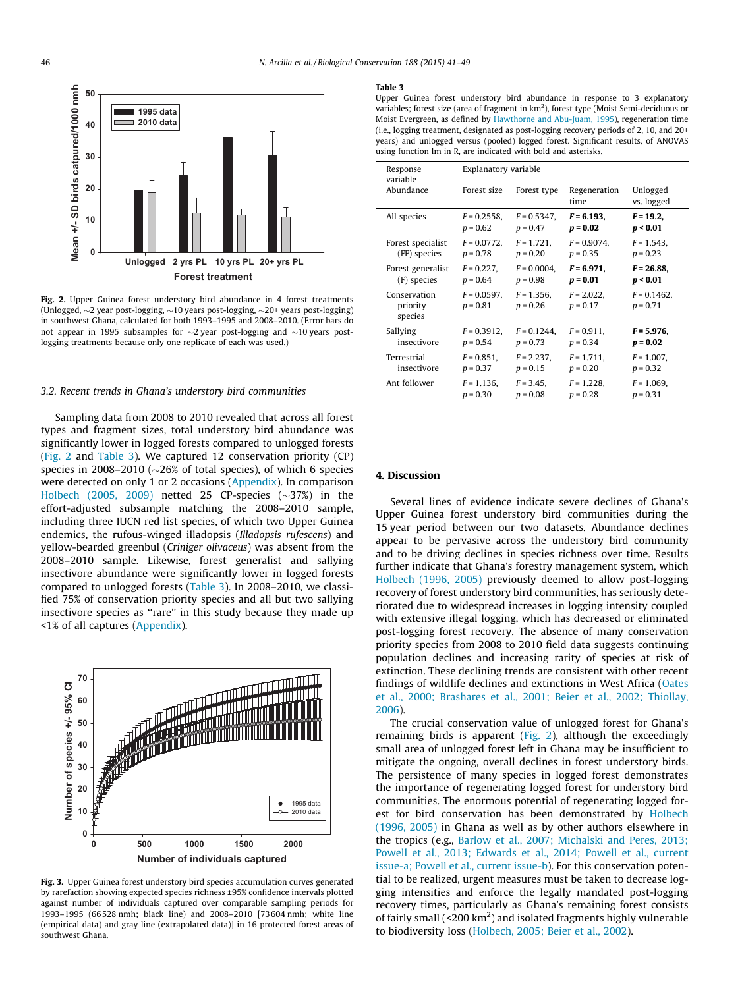<span id="page-5-0"></span>

Fig. 2. Upper Guinea forest understory bird abundance in 4 forest treatments (Unlogged,  $\sim$ 2 year post-logging,  $\sim$ 10 years post-logging,  $\sim$ 20+ years post-logging) in southwest Ghana, calculated for both 1993–1995 and 2008–2010. (Error bars do not appear in 1995 subsamples for  $\sim$ 2 year post-logging and  $\sim$ 10 years postlogging treatments because only one replicate of each was used.)

## 3.2. Recent trends in Ghana's understory bird communities

Sampling data from 2008 to 2010 revealed that across all forest types and fragment sizes, total understory bird abundance was significantly lower in logged forests compared to unlogged forests (Fig. 2 and Table 3). We captured 12 conservation priority (CP) species in 2008–2010 ( $\sim$ 26% of total species), of which 6 species were detected on only 1 or 2 occasions (Appendix). In comparison [Holbech \(2005, 2009\)](#page-7-0) netted 25 CP-species  $(\sim]37\%)$  in the effort-adjusted subsample matching the 2008–2010 sample, including three IUCN red list species, of which two Upper Guinea endemics, the rufous-winged illadopsis (Illadopsis rufescens) and yellow-bearded greenbul (Criniger olivaceus) was absent from the 2008–2010 sample. Likewise, forest generalist and sallying insectivore abundance were significantly lower in logged forests compared to unlogged forests (Table 3). In 2008–2010, we classified 75% of conservation priority species and all but two sallying insectivore species as "rare" in this study because they made up <1% of all captures (Appendix).



Fig. 3. Upper Guinea forest understory bird species accumulation curves generated by rarefaction showing expected species richness ±95% confidence intervals plotted against number of individuals captured over comparable sampling periods for 1993–1995 (66 528 nmh; black line) and 2008–2010 [73604 nmh; white line (empirical data) and gray line (extrapolated data)] in 16 protected forest areas of southwest Ghana.

#### Table 3

Upper Guinea forest understory bird abundance in response to 3 explanatory variables; forest size (area of fragment in  $km<sup>2</sup>$ ), forest type (Moist Semi-deciduous or Moist Evergreen, as defined by [Hawthorne and Abu-Juam, 1995](#page-7-0)), regeneration time (i.e., logging treatment, designated as post-logging recovery periods of 2, 10, and 20+ years) and unlogged versus (pooled) logged forest. Significant results, of ANOVAS using function lm in R, are indicated with bold and asterisks.

| Response<br>variable                | Explanatory variable         |                             |                             |                              |  |  |
|-------------------------------------|------------------------------|-----------------------------|-----------------------------|------------------------------|--|--|
| Abundance                           | Forest size                  | Forest type                 | Regeneration<br>time        | Unlogged<br>vs. logged       |  |  |
| All species                         | $F = 0.2558$ ,               | $F = 0.5347$ ,              | $F = 6.193$ ,               | $F = 19.2$                   |  |  |
|                                     | $p = 0.62$                   | $p = 0.47$                  | $p = 0.02$                  | p < 0.01                     |  |  |
| Forest specialist                   | $F = 0.0772$ ,               | $F = 1.721$ ,               | $F = 0.9074$ ,              | $F = 1.543$ ,                |  |  |
| (FF) species                        | $p = 0.78$                   | $p = 0.20$                  | $p = 0.35$                  | $p = 0.23$                   |  |  |
| Forest generalist                   | $F = 0.227$ ,                | $F = 0.0004$ .              | $F = 6.971,$                | $F = 26.88$ ,                |  |  |
| (F) species                         | $p = 0.64$                   | $p = 0.98$                  | $p = 0.01$                  | p < 0.01                     |  |  |
| Conservation<br>priority<br>species | $F = 0.0597$ .<br>$p = 0.81$ | $F = 1.356$ .<br>$p = 0.26$ | $F = 2.022$ ,<br>$p = 0.17$ | $F = 0.1462$ .<br>$p = 0.71$ |  |  |
| Sallying                            | $F = 0.3912$ ,               | $F = 0.1244$ .              | $F = 0.911$ ,               | $F = 5.976$ ,                |  |  |
| insectivore                         | $p = 0.54$                   | $p = 0.73$                  | $p = 0.34$                  | $p = 0.02$                   |  |  |
| Terrestrial                         | $F = 0.851$ .                | $F = 2.237$ .               | $F = 1.711$ .               | $F = 1.007$ ,                |  |  |
| insectivore                         | $p = 0.37$                   | $p = 0.15$                  | $p = 0.20$                  | $p = 0.32$                   |  |  |
| Ant follower                        | $F = 1.136$ .                | $F = 3.45$ .                | $F = 1.228$ .               | $F = 1.069$ .                |  |  |
|                                     | $p = 0.30$                   | $p = 0.08$                  | $p = 0.28$                  | $p = 0.31$                   |  |  |

# 4. Discussion

Several lines of evidence indicate severe declines of Ghana's Upper Guinea forest understory bird communities during the 15 year period between our two datasets. Abundance declines appear to be pervasive across the understory bird community and to be driving declines in species richness over time. Results further indicate that Ghana's forestry management system, which [Holbech \(1996, 2005\)](#page-7-0) previously deemed to allow post-logging recovery of forest understory bird communities, has seriously deteriorated due to widespread increases in logging intensity coupled with extensive illegal logging, which has decreased or eliminated post-logging forest recovery. The absence of many conservation priority species from 2008 to 2010 field data suggests continuing population declines and increasing rarity of species at risk of extinction. These declining trends are consistent with other recent findings of wildlife declines and extinctions in West Africa ([Oates](#page-7-0) [et al., 2000; Brashares et al., 2001; Beier et al., 2002; Thiollay,](#page-7-0) [2006\)](#page-7-0).

The crucial conservation value of unlogged forest for Ghana's remaining birds is apparent (Fig. 2), although the exceedingly small area of unlogged forest left in Ghana may be insufficient to mitigate the ongoing, overall declines in forest understory birds. The persistence of many species in logged forest demonstrates the importance of regenerating logged forest for understory bird communities. The enormous potential of regenerating logged forest for bird conservation has been demonstrated by [Holbech](#page-7-0) [\(1996, 2005\)](#page-7-0) in Ghana as well as by other authors elsewhere in the tropics (e.g., [Barlow et al., 2007; Michalski and Peres, 2013;](#page-7-0) [Powell et al., 2013; Edwards et al., 2014; Powell et al., current](#page-7-0) [issue-a; Powell et al., current issue-b\)](#page-7-0). For this conservation potential to be realized, urgent measures must be taken to decrease logging intensities and enforce the legally mandated post-logging recovery times, particularly as Ghana's remaining forest consists of fairly small (< $200 \text{ km}^2$ ) and isolated fragments highly vulnerable to biodiversity loss ([Holbech, 2005; Beier et al., 2002\)](#page-7-0).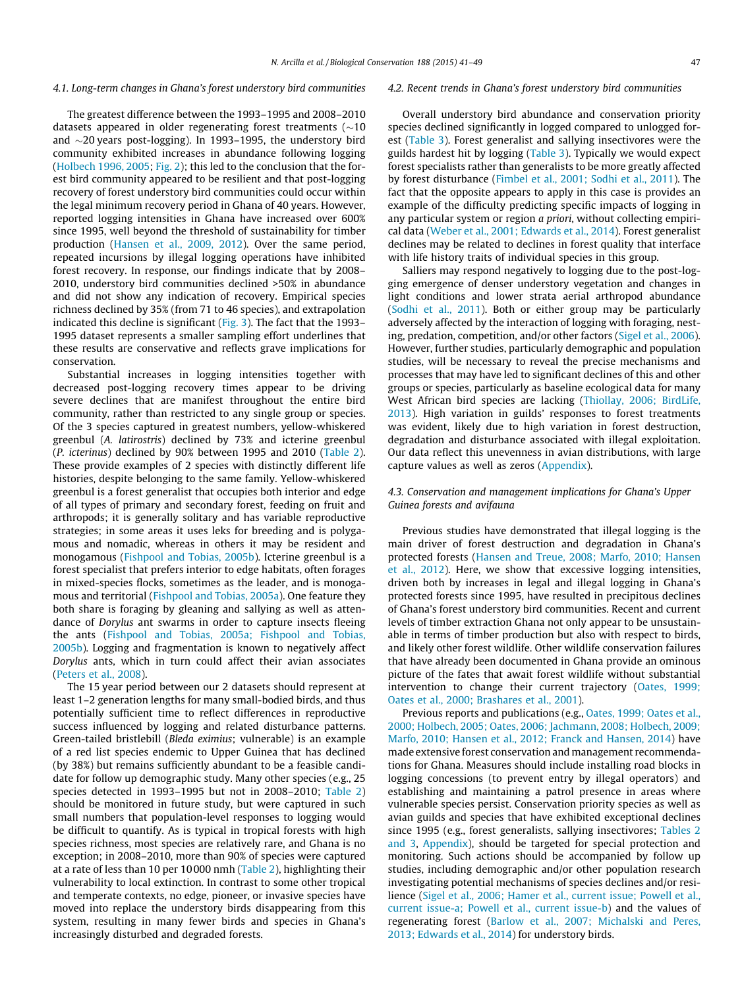#### 4.1. Long-term changes in Ghana's forest understory bird communities

The greatest difference between the 1993–1995 and 2008–2010 datasets appeared in older regenerating forest treatments  $(\sim 10$ and  $\sim$ 20 years post-logging). In 1993–1995, the understory bird community exhibited increases in abundance following logging ([Holbech 1996, 2005](#page-7-0); [Fig. 2\)](#page-5-0); this led to the conclusion that the forest bird community appeared to be resilient and that post-logging recovery of forest understory bird communities could occur within the legal minimum recovery period in Ghana of 40 years. However, reported logging intensities in Ghana have increased over 600% since 1995, well beyond the threshold of sustainability for timber production ([Hansen et al., 2009, 2012\)](#page-7-0). Over the same period, repeated incursions by illegal logging operations have inhibited forest recovery. In response, our findings indicate that by 2008– 2010, understory bird communities declined >50% in abundance and did not show any indication of recovery. Empirical species richness declined by 35% (from 71 to 46 species), and extrapolation indicated this decline is significant [\(Fig. 3](#page-5-0)). The fact that the 1993– 1995 dataset represents a smaller sampling effort underlines that these results are conservative and reflects grave implications for conservation.

Substantial increases in logging intensities together with decreased post-logging recovery times appear to be driving severe declines that are manifest throughout the entire bird community, rather than restricted to any single group or species. Of the 3 species captured in greatest numbers, yellow-whiskered greenbul (A. latirostris) declined by 73% and icterine greenbul (P. icterinus) declined by 90% between 1995 and 2010 [\(Table 2\)](#page-4-0). These provide examples of 2 species with distinctly different life histories, despite belonging to the same family. Yellow-whiskered greenbul is a forest generalist that occupies both interior and edge of all types of primary and secondary forest, feeding on fruit and arthropods; it is generally solitary and has variable reproductive strategies; in some areas it uses leks for breeding and is polygamous and nomadic, whereas in others it may be resident and monogamous ([Fishpool and Tobias, 2005b](#page-7-0)). Icterine greenbul is a forest specialist that prefers interior to edge habitats, often forages in mixed-species flocks, sometimes as the leader, and is monogamous and territorial ([Fishpool and Tobias, 2005a](#page-7-0)). One feature they both share is foraging by gleaning and sallying as well as attendance of Dorylus ant swarms in order to capture insects fleeing the ants [\(Fishpool and Tobias, 2005a; Fishpool and Tobias,](#page-7-0) [2005b](#page-7-0)). Logging and fragmentation is known to negatively affect Dorylus ants, which in turn could affect their avian associates ([Peters et al., 2008](#page-8-0)).

The 15 year period between our 2 datasets should represent at least 1–2 generation lengths for many small-bodied birds, and thus potentially sufficient time to reflect differences in reproductive success influenced by logging and related disturbance patterns. Green-tailed bristlebill (Bleda eximius; vulnerable) is an example of a red list species endemic to Upper Guinea that has declined (by 38%) but remains sufficiently abundant to be a feasible candidate for follow up demographic study. Many other species (e.g., 25 species detected in 1993–1995 but not in 2008–2010; [Table 2\)](#page-4-0) should be monitored in future study, but were captured in such small numbers that population-level responses to logging would be difficult to quantify. As is typical in tropical forests with high species richness, most species are relatively rare, and Ghana is no exception; in 2008–2010, more than 90% of species were captured at a rate of less than 10 per 10000 nmh ([Table 2\)](#page-4-0), highlighting their vulnerability to local extinction. In contrast to some other tropical and temperate contexts, no edge, pioneer, or invasive species have moved into replace the understory birds disappearing from this system, resulting in many fewer birds and species in Ghana's increasingly disturbed and degraded forests.

### 4.2. Recent trends in Ghana's forest understory bird communities

Overall understory bird abundance and conservation priority species declined significantly in logged compared to unlogged forest ([Table 3\)](#page-5-0). Forest generalist and sallying insectivores were the guilds hardest hit by logging ([Table 3\)](#page-5-0). Typically we would expect forest specialists rather than generalists to be more greatly affected by forest disturbance [\(Fimbel et al., 2001; Sodhi et al., 2011](#page-7-0)). The fact that the opposite appears to apply in this case is provides an example of the difficulty predicting specific impacts of logging in any particular system or region a priori, without collecting empirical data ([Weber et al., 2001; Edwards et al., 2014\)](#page-8-0). Forest generalist declines may be related to declines in forest quality that interface with life history traits of individual species in this group.

Salliers may respond negatively to logging due to the post-logging emergence of denser understory vegetation and changes in light conditions and lower strata aerial arthropod abundance ([Sodhi et al., 2011](#page-8-0)). Both or either group may be particularly adversely affected by the interaction of logging with foraging, nesting, predation, competition, and/or other factors ([Sigel et al., 2006\)](#page-8-0). However, further studies, particularly demographic and population studies, will be necessary to reveal the precise mechanisms and processes that may have led to significant declines of this and other groups or species, particularly as baseline ecological data for many West African bird species are lacking ([Thiollay, 2006; BirdLife,](#page-8-0) [2013](#page-8-0)). High variation in guilds' responses to forest treatments was evident, likely due to high variation in forest destruction, degradation and disturbance associated with illegal exploitation. Our data reflect this unevenness in avian distributions, with large capture values as well as zeros (Appendix).

# 4.3. Conservation and management implications for Ghana's Upper Guinea forests and avifauna

Previous studies have demonstrated that illegal logging is the main driver of forest destruction and degradation in Ghana's protected forests [\(Hansen and Treue, 2008; Marfo, 2010; Hansen](#page-7-0) [et al., 2012\)](#page-7-0). Here, we show that excessive logging intensities, driven both by increases in legal and illegal logging in Ghana's protected forests since 1995, have resulted in precipitous declines of Ghana's forest understory bird communities. Recent and current levels of timber extraction Ghana not only appear to be unsustainable in terms of timber production but also with respect to birds, and likely other forest wildlife. Other wildlife conservation failures that have already been documented in Ghana provide an ominous picture of the fates that await forest wildlife without substantial intervention to change their current trajectory ([Oates, 1999;](#page-7-0) [Oates et al., 2000; Brashares et al., 2001](#page-7-0)).

Previous reports and publications (e.g., [Oates, 1999; Oates et al.,](#page-7-0) [2000; Holbech, 2005; Oates, 2006; Jachmann, 2008; Holbech, 2009;](#page-7-0) [Marfo, 2010; Hansen et al., 2012; Franck and Hansen, 2014\)](#page-7-0) have made extensive forest conservation and management recommendations for Ghana. Measures should include installing road blocks in logging concessions (to prevent entry by illegal operators) and establishing and maintaining a patrol presence in areas where vulnerable species persist. Conservation priority species as well as avian guilds and species that have exhibited exceptional declines since 1995 (e.g., forest generalists, sallying insectivores; [Tables 2](#page-4-0) [and 3](#page-4-0), Appendix), should be targeted for special protection and monitoring. Such actions should be accompanied by follow up studies, including demographic and/or other population research investigating potential mechanisms of species declines and/or resilience ([Sigel et al., 2006; Hamer et al., current issue; Powell et al.,](#page-8-0) [current issue-a; Powell et al., current issue-b\)](#page-8-0) and the values of regenerating forest [\(Barlow et al., 2007; Michalski and Peres,](#page-7-0) [2013; Edwards et al., 2014](#page-7-0)) for understory birds.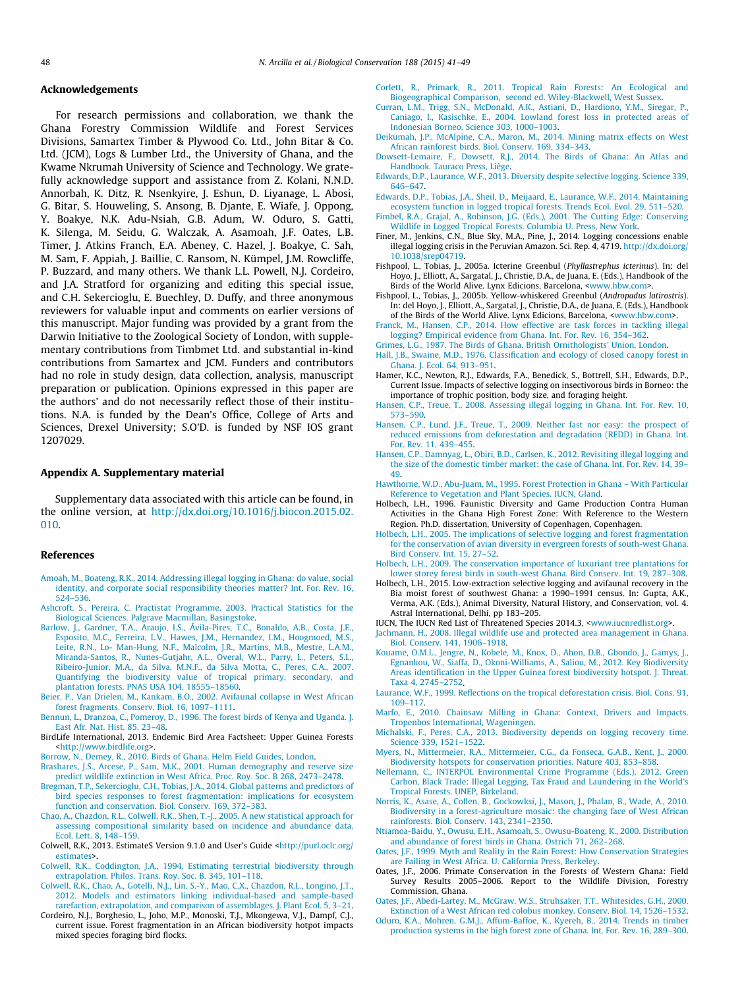# <span id="page-7-0"></span>Acknowledgements

For research permissions and collaboration, we thank the Ghana Forestry Commission Wildlife and Forest Services Divisions, Samartex Timber & Plywood Co. Ltd., John Bitar & Co. Ltd. (JCM), Logs & Lumber Ltd., the University of Ghana, and the Kwame Nkrumah University of Science and Technology. We gratefully acknowledge support and assistance from Z. Kolani, N.N.D. Annorbah, K. Ditz, R. Nsenkyire, J. Eshun, D. Liyanage, L. Abosi, G. Bitar, S. Houweling, S. Ansong, B. Djante, E. Wiafe, J. Oppong, Y. Boakye, N.K. Adu-Nsiah, G.B. Adum, W. Oduro, S. Gatti, K. Silenga, M. Seidu, G. Walczak, A. Asamoah, J.F. Oates, L.B. Timer, J. Atkins Franch, E.A. Abeney, C. Hazel, J. Boakye, C. Sah, M. Sam, F. Appiah, J. Baillie, C. Ransom, N. Kümpel, J.M. Rowcliffe, P. Buzzard, and many others. We thank L.L. Powell, N.J. Cordeiro, and J.A. Stratford for organizing and editing this special issue, and C.H. Sekercioglu, E. Buechley, D. Duffy, and three anonymous reviewers for valuable input and comments on earlier versions of this manuscript. Major funding was provided by a grant from the Darwin Initiative to the Zoological Society of London, with supplementary contributions from Timbmet Ltd. and substantial in-kind contributions from Samartex and JCM. Funders and contributors had no role in study design, data collection, analysis, manuscript preparation or publication. Opinions expressed in this paper are the authors' and do not necessarily reflect those of their institutions. N.A. is funded by the Dean's Office, College of Arts and Sciences, Drexel University; S.O'D. is funded by NSF IOS grant 1207029.

#### Appendix A. Supplementary material

Supplementary data associated with this article can be found, in the online version, at [http://dx.doi.org/10.1016/j.biocon.2015.02.](http://dx.doi.org/10.1016/j.biocon.2015.02.010) [010.](http://dx.doi.org/10.1016/j.biocon.2015.02.010)

### References

- [Amoah, M., Boateng, R.K., 2014. Addressing illegal logging in Ghana: do value, social](http://refhub.elsevier.com/S0006-3207(15)00065-8/h0245) [identity, and corporate social responsibility theories matter? Int. For. Rev. 16,](http://refhub.elsevier.com/S0006-3207(15)00065-8/h0245) [524–536](http://refhub.elsevier.com/S0006-3207(15)00065-8/h0245).
- [Ashcroft, S., Pereira, C. Practistat Programme, 2003. Practical Statistics for the](http://refhub.elsevier.com/S0006-3207(15)00065-8/h0005) [Biological Sciences. Palgrave Macmillan, Basingstoke](http://refhub.elsevier.com/S0006-3207(15)00065-8/h0005).
- [Barlow, J., Gardner, T.A., Araujo, I.S., Ávila-Pires, T.C., Bonaldo, A.B., Costa, J.E.,](http://refhub.elsevier.com/S0006-3207(15)00065-8/h0010) [Esposito, M.C., Ferreira, L.V., Hawes, J.M., Hernandez, I.M., Hoogmoed, M.S.,](http://refhub.elsevier.com/S0006-3207(15)00065-8/h0010) [Leite, R.N., Lo- Man-Hung, N.F., Malcolm, J.R., Martins, M.B., Mestre, L.A.M.,](http://refhub.elsevier.com/S0006-3207(15)00065-8/h0010) [Miranda-Santos, R., Nunes-Gutjahr, A.L., Overal, W.L., Parry, L., Peters, S.L.,](http://refhub.elsevier.com/S0006-3207(15)00065-8/h0010) [Ribeiro-Junior, M.A., da Silva, M.N.F., da Silva Motta, C., Peres, C.A., 2007.](http://refhub.elsevier.com/S0006-3207(15)00065-8/h0010) [Quantifying the biodiversity value of tropical primary, secondary, and](http://refhub.elsevier.com/S0006-3207(15)00065-8/h0010) [plantation forests. PNAS USA 104, 18555–18560.](http://refhub.elsevier.com/S0006-3207(15)00065-8/h0010)
- [Beier, P., Van Drielen, M., Kankam, B.O., 2002. Avifaunal collapse in West African](http://refhub.elsevier.com/S0006-3207(15)00065-8/h0015) [forest fragments. Conserv. Biol. 16, 1097–1111](http://refhub.elsevier.com/S0006-3207(15)00065-8/h0015).
- [Bennun, L., Dranzoa, C., Pomeroy, D., 1996. The forest birds of Kenya and Uganda. J.](http://refhub.elsevier.com/S0006-3207(15)00065-8/h0020) [East Afr. Nat. Hist. 85, 23–48.](http://refhub.elsevier.com/S0006-3207(15)00065-8/h0020)
- BirdLife International, 2013. Endemic Bird Area Factsheet: Upper Guinea Forests [<http://www.birdlife.org>](http://www.birdlife.org).
- [Borrow, N., Demey, R., 2010. Birds of Ghana. Helm Field Guides, London](http://refhub.elsevier.com/S0006-3207(15)00065-8/h0030).
- [Brashares, J.S., Arcese, P., Sam, M.K., 2001. Human demography and reserve size](http://refhub.elsevier.com/S0006-3207(15)00065-8/h0035) [predict wildlife extinction in West Africa. Proc. Roy. Soc. B 268, 2473–2478](http://refhub.elsevier.com/S0006-3207(15)00065-8/h0035).
- [Bregman, T.P., Sekercioglu, C.H., Tobias, J.A., 2014. Global patterns and predictors of](http://refhub.elsevier.com/S0006-3207(15)00065-8/h0040) [bird species responses to forest fragmentation: implications for ecosystem](http://refhub.elsevier.com/S0006-3207(15)00065-8/h0040) [function and conservation. Biol. Conserv. 169, 372–383.](http://refhub.elsevier.com/S0006-3207(15)00065-8/h0040)
- [Chao, A., Chazdon, R.L., Colwell, R.K., Shen, T.-J., 2005. A new statistical approach for](http://refhub.elsevier.com/S0006-3207(15)00065-8/h0045) [assessing compositional similarity based on incidence and abundance data.](http://refhub.elsevier.com/S0006-3207(15)00065-8/h0045) [Ecol. Lett. 8, 148–159](http://refhub.elsevier.com/S0006-3207(15)00065-8/h0045).
- Colwell, R.K., 2013. EstimateS Version 9.1.0 and User's Guide [<http://purl.oclc.org/](http://purl.oclc.org/estimates) [estimates>](http://purl.oclc.org/estimates).
- [Colwell, R.K., Coddington, J.A., 1994. Estimating terrestrial biodiversity through](http://refhub.elsevier.com/S0006-3207(15)00065-8/h0055) [extrapolation. Philos. Trans. Roy. Soc. B. 345, 101–118](http://refhub.elsevier.com/S0006-3207(15)00065-8/h0055).
- [Colwell, R.K., Chao, A., Gotelli, N.J., Lin, S.-Y., Mao, C.X., Chazdon, R.L., Longino, J.T.,](http://refhub.elsevier.com/S0006-3207(15)00065-8/h0060) [2012. Models and estimators linking individual-based and sample-based](http://refhub.elsevier.com/S0006-3207(15)00065-8/h0060) [rarefaction, extrapolation, and comparison of assemblages. J. Plant Ecol. 5, 3–21](http://refhub.elsevier.com/S0006-3207(15)00065-8/h0060).
- Cordeiro, N.J., Borghesio, L., Joho, M.P., Monoski, T.J., Mkongewa, V.J., Dampf, C.J., current issue. Forest fragmentation in an African biodiversity hotpot impacts mixed species foraging bird flocks.
- [Corlett, R., Primack, R., 2011. Tropical Rain Forests: An Ecological and](http://refhub.elsevier.com/S0006-3207(15)00065-8/h0070) [Biogeographical Comparison, second ed. Wiley-Blackwell, West Sussex](http://refhub.elsevier.com/S0006-3207(15)00065-8/h0070).
- [Curran, L.M., Trigg, S.N., McDonald, A.K., Astiani, D., Hardiono, Y.M., Siregar, P.,](http://refhub.elsevier.com/S0006-3207(15)00065-8/h0075) [Caniago, I., Kasischke, E., 2004. Lowland forest loss in protected areas of](http://refhub.elsevier.com/S0006-3207(15)00065-8/h0075) [Indonesian Borneo. Science 303, 1000–1003.](http://refhub.elsevier.com/S0006-3207(15)00065-8/h0075)
- [Deikumah, J.P., McAlpine, C.A., Maron, M., 2014. Mining matrix effects on West](http://refhub.elsevier.com/S0006-3207(15)00065-8/h0080) [African rainforest birds. Biol. Conserv. 169, 334–343.](http://refhub.elsevier.com/S0006-3207(15)00065-8/h0080)
- [Dowsett-Lemaire, F., Dowsett, R.J., 2014. The Birds of Ghana: An Atlas and](http://refhub.elsevier.com/S0006-3207(15)00065-8/h0085) [Handbook. Tauraco Press, Liège](http://refhub.elsevier.com/S0006-3207(15)00065-8/h0085).
- [Edwards, D.P., Laurance, W.F., 2013. Diversity despite selective logging. Science 339,](http://refhub.elsevier.com/S0006-3207(15)00065-8/h9000) [646–647](http://refhub.elsevier.com/S0006-3207(15)00065-8/h9000).
- [Edwards, D.P., Tobias, J.A., Sheil, D., Meijaard, E., Laurance, W.F., 2014. Maintaining](http://refhub.elsevier.com/S0006-3207(15)00065-8/h0090) [ecosystem function in logged tropical forests. Trends Ecol. Evol. 29, 511–520.](http://refhub.elsevier.com/S0006-3207(15)00065-8/h0090) [Fimbel, R.A., Grajal, A., Robinson, J.G. \(Eds.\), 2001. The Cutting Edge: Conserving](http://refhub.elsevier.com/S0006-3207(15)00065-8/h0095)
- [Wildlife in Logged Tropical Forests. Columbia U. Press, New York.](http://refhub.elsevier.com/S0006-3207(15)00065-8/h0095)
- Finer, M., Jenkins, C.N., Blue Sky, M.A., Pine, J., 2014. Logging concessions enable illegal logging crisis in the Peruvian Amazon. Sci. Rep. 4, 4719. [http://dx.doi.org/](http://dx.doi.org/10.1038/srep04719) [10.1038/srep04719](http://dx.doi.org/10.1038/srep04719).
- Fishpool, L., Tobias, J., 2005a. Icterine Greenbul (Phyllastrephus icterinus). In: del Hoyo, J., Elliott, A., Sargatal, J., Christie, D.A., de Juana, E. (Eds.), Handbook of the Birds of the World Alive. Lynx Edicions, Barcelona, [<www.hbw.com>](http://www.hbw.com).
- Fishpool, L., Tobias, J., 2005b. Yellow-whiskered Greenbul (Andropadus latirostris). In: del Hoyo, J., Elliott, A., Sargatal, J., Christie, D.A., de Juana, E. (Eds.), Handbook of the Birds of the World Alive. Lynx Edicions, Barcelona, [<www.hbw.com](http://www.hbw.com)>.
- [Franck, M., Hansen, C.P., 2014. How effective are task forces in tackling illegal](http://refhub.elsevier.com/S0006-3207(15)00065-8/h0115) [logging? Empirical evidence from Ghana. Int. For. Rev. 16, 354–362](http://refhub.elsevier.com/S0006-3207(15)00065-8/h0115).
- [Grimes, L.G., 1987. The Birds of Ghana. British Ornithologists' Union, London](http://refhub.elsevier.com/S0006-3207(15)00065-8/h0120).
- [Hall, J.B., Swaine, M.D., 1976. Classification and ecology of closed canopy forest in](http://refhub.elsevier.com/S0006-3207(15)00065-8/h0125) [Ghana. J. Ecol. 64, 913–951.](http://refhub.elsevier.com/S0006-3207(15)00065-8/h0125)
- Hamer, K.C., Newton, R.J., Edwards, F.A., Benedick, S., Bottrell, S.H., Edwards, D.P., Current Issue. Impacts of selective logging on insectivorous birds in Borneo: the importance of trophic position, body size, and foraging height.
- [Hansen, C.P., Treue, T., 2008. Assessing illegal logging in Ghana. Int. For. Rev. 10,](http://refhub.elsevier.com/S0006-3207(15)00065-8/h0135) [573–590](http://refhub.elsevier.com/S0006-3207(15)00065-8/h0135).
- [Hansen, C.P., Lund, J.F., Treue, T., 2009. Neither fast nor easy: the prospect of](http://refhub.elsevier.com/S0006-3207(15)00065-8/h0140) [reduced emissions from deforestation and degradation \(REDD\) in Ghana. Int.](http://refhub.elsevier.com/S0006-3207(15)00065-8/h0140) [For. Rev. 11, 439–455.](http://refhub.elsevier.com/S0006-3207(15)00065-8/h0140)
- [Hansen, C.P., Damnyag, L., Obiri, B.D., Carlsen, K., 2012. Revisiting illegal logging and](http://refhub.elsevier.com/S0006-3207(15)00065-8/h0145) [the size of the domestic timber market: the case of Ghana. Int. For. Rev. 14, 39–](http://refhub.elsevier.com/S0006-3207(15)00065-8/h0145) [49](http://refhub.elsevier.com/S0006-3207(15)00065-8/h0145).
- [Hawthorne, W.D., Abu-Juam, M., 1995. Forest Protection in Ghana With Particular](http://refhub.elsevier.com/S0006-3207(15)00065-8/h0155) [Reference to Vegetation and Plant Species. IUCN, Gland](http://refhub.elsevier.com/S0006-3207(15)00065-8/h0155).
- Holbech, L.H., 1996. Faunistic Diversity and Game Production Contra Human Activities in the Ghana High Forest Zone: With Reference to the Western Region. Ph.D. dissertation, University of Copenhagen, Copenhagen.
- [Holbech, L.H., 2005. The implications of selective logging and forest fragmentation](http://refhub.elsevier.com/S0006-3207(15)00065-8/h0165) [for the conservation of avian diversity in evergreen forests of south-west Ghana.](http://refhub.elsevier.com/S0006-3207(15)00065-8/h0165) [Bird Conserv. Int. 15, 27–52.](http://refhub.elsevier.com/S0006-3207(15)00065-8/h0165)
- [Holbech, L.H., 2009. The conservation importance of luxuriant tree plantations for](http://refhub.elsevier.com/S0006-3207(15)00065-8/h0170) [lower storey forest birds in south-west Ghana. Bird Conserv. Int. 19, 287–308.](http://refhub.elsevier.com/S0006-3207(15)00065-8/h0170)
- Holbech, L.H., 2015. Low-extraction selective logging and avifaunal recovery in the Bia moist forest of southwest Ghana: a 1990–1991 census. In: Gupta, A.K., Verma, A.K. (Eds.), Animal Diversity, Natural History, and Conservation, vol. 4. Astral International, Delhi, pp 183–205.
- IUCN, The IUCN Red List of Threatened Species 2014.3, [<www.iucnredlist.org>](http://www.iucnredlist.org).
- [Jachmann, H., 2008. Illegal wildlife use and protected area management in Ghana.](http://refhub.elsevier.com/S0006-3207(15)00065-8/h0180) [Biol. Conserv. 141, 1906–1918](http://refhub.elsevier.com/S0006-3207(15)00065-8/h0180).
- [Kouame, O.M.L., Jengre, N., Kobele, M., Knox, D., Ahon, D.B., Gbondo, J., Gamys, J.,](http://refhub.elsevier.com/S0006-3207(15)00065-8/h0185) [Egnankou, W., Siaffa, D., Okoni-Williams, A., Saliou, M., 2012. Key Biodiversity](http://refhub.elsevier.com/S0006-3207(15)00065-8/h0185) [Areas identification in the Upper Guinea forest biodiversity hotspot. J. Threat.](http://refhub.elsevier.com/S0006-3207(15)00065-8/h0185) [Taxa 4, 2745–2752.](http://refhub.elsevier.com/S0006-3207(15)00065-8/h0185)
- [Laurance, W.F., 1999. Reflections on the tropical deforestation crisis. Biol. Cons. 91,](http://refhub.elsevier.com/S0006-3207(15)00065-8/h0190) [109–117](http://refhub.elsevier.com/S0006-3207(15)00065-8/h0190).
- [Marfo, E., 2010. Chainsaw Milling in Ghana: Context, Drivers and Impacts.](http://refhub.elsevier.com/S0006-3207(15)00065-8/h0195) [Tropenbos International, Wageningen](http://refhub.elsevier.com/S0006-3207(15)00065-8/h0195).
- [Michalski, F., Peres, C.A., 2013. Biodiversity depends on logging recovery time.](http://refhub.elsevier.com/S0006-3207(15)00065-8/h0200) [Science 339, 1521–1522.](http://refhub.elsevier.com/S0006-3207(15)00065-8/h0200)
- [Myers, N., Mittermeier, R.A., Mittermeier, C.G., da Fonseca, G.A.B., Kent, J., 2000.](http://refhub.elsevier.com/S0006-3207(15)00065-8/h0205) [Biodiversity hotspots for conservation priorities. Nature 403, 853–858](http://refhub.elsevier.com/S0006-3207(15)00065-8/h0205).
- [Nellemann, C., INTERPOL Environmental Crime Programme \(Eds.\), 2012. Green](http://refhub.elsevier.com/S0006-3207(15)00065-8/h0210) [Carbon, Black Trade: Illegal Logging, Tax Fraud and Laundering in the World's](http://refhub.elsevier.com/S0006-3207(15)00065-8/h0210) [Tropical Forests. UNEP, Birkeland.](http://refhub.elsevier.com/S0006-3207(15)00065-8/h0210)
- [Norris, K., Asase, A., Collen, B., Gockowksi, J., Mason, J., Phalan, B., Wade, A., 2010.](http://refhub.elsevier.com/S0006-3207(15)00065-8/h0215) [Biodiversity in a forest-agriculture mosaic: the changing face of West African](http://refhub.elsevier.com/S0006-3207(15)00065-8/h0215) [rainforests. Biol. Conserv. 143, 2341–2350](http://refhub.elsevier.com/S0006-3207(15)00065-8/h0215).
- [Ntiamoa-Baidu, Y., Owusu, E.H., Asamoah, S., Owusu-Boateng, K., 2000. Distribution](http://refhub.elsevier.com/S0006-3207(15)00065-8/h0220) [and abundance of forest birds in Ghana. Ostrich 71, 262–268.](http://refhub.elsevier.com/S0006-3207(15)00065-8/h0220)
- [Oates, J.F., 1999. Myth and Reality in the Rain Forest: How Conservation Strategies](http://refhub.elsevier.com/S0006-3207(15)00065-8/h0225) [are Failing in West Africa. U. California Press, Berkeley.](http://refhub.elsevier.com/S0006-3207(15)00065-8/h0225)
- Oates, J.F., 2006. Primate Conservation in the Forests of Western Ghana: Field Survey Results 2005–2006. Report to the Wildlife Division, Forestry Commission, Ghana.
- [Oates, J.F., Abedi-Lartey, M., McGraw, W.S., Struhsaker, T.T., Whitesides, G.H., 2000.](http://refhub.elsevier.com/S0006-3207(15)00065-8/h0235) [Extinction of a West African red colobus monkey. Conserv. Biol. 14, 1526–1532](http://refhub.elsevier.com/S0006-3207(15)00065-8/h0235).
- [Oduro, K.A., Mohren, G.M.J., Affum-Baffoe, K., Kyereh, B., 2014. Trends in timber](http://refhub.elsevier.com/S0006-3207(15)00065-8/h0240) [production systems in the high forest zone of Ghana. Int. For. Rev. 16, 289–300](http://refhub.elsevier.com/S0006-3207(15)00065-8/h0240).